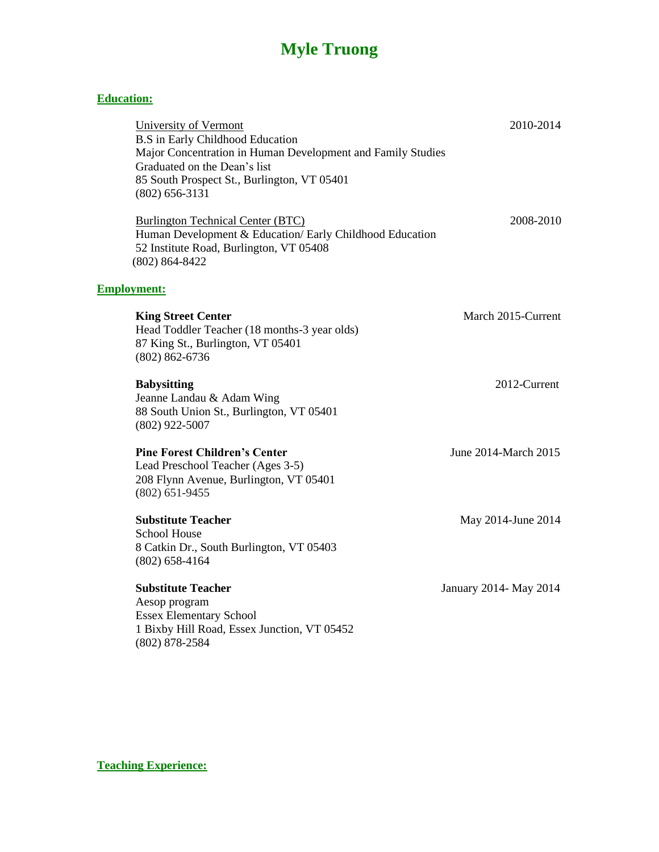## **Myle Truong**

## **Education:**

| University of Vermont<br><b>B.S</b> in Early Childhood Education<br>Major Concentration in Human Development and Family Studies<br>Graduated on the Dean's list<br>85 South Prospect St., Burlington, VT 05401<br>$(802) 656 - 3131$ | 2010-2014               |
|--------------------------------------------------------------------------------------------------------------------------------------------------------------------------------------------------------------------------------------|-------------------------|
| <b>Burlington Technical Center (BTC)</b><br>Human Development & Education/ Early Childhood Education<br>52 Institute Road, Burlington, VT 05408<br>$(802) 864 - 8422$                                                                | 2008-2010               |
| <b>Employment:</b>                                                                                                                                                                                                                   |                         |
| <b>King Street Center</b><br>Head Toddler Teacher (18 months-3 year olds)<br>87 King St., Burlington, VT 05401<br>$(802) 862 - 6736$                                                                                                 | March 2015-Current      |
| <b>Babysitting</b><br>Jeanne Landau & Adam Wing<br>88 South Union St., Burlington, VT 05401<br>$(802)$ 922-5007                                                                                                                      | 2012-Current            |
| <b>Pine Forest Children's Center</b><br>Lead Preschool Teacher (Ages 3-5)<br>208 Flynn Avenue, Burlington, VT 05401<br>$(802)$ 651-9455                                                                                              | June 2014-March 2015    |
| <b>Substitute Teacher</b><br><b>School House</b><br>8 Catkin Dr., South Burlington, VT 05403<br>$(802) 658 - 4164$                                                                                                                   | May 2014-June 2014      |
| <b>Substitute Teacher</b><br>Aesop program<br><b>Essex Elementary School</b><br>1 Bixby Hill Road, Essex Junction, VT 05452<br>$(802)$ 878-2584                                                                                      | January 2014 - May 2014 |

**Teaching Experience:**